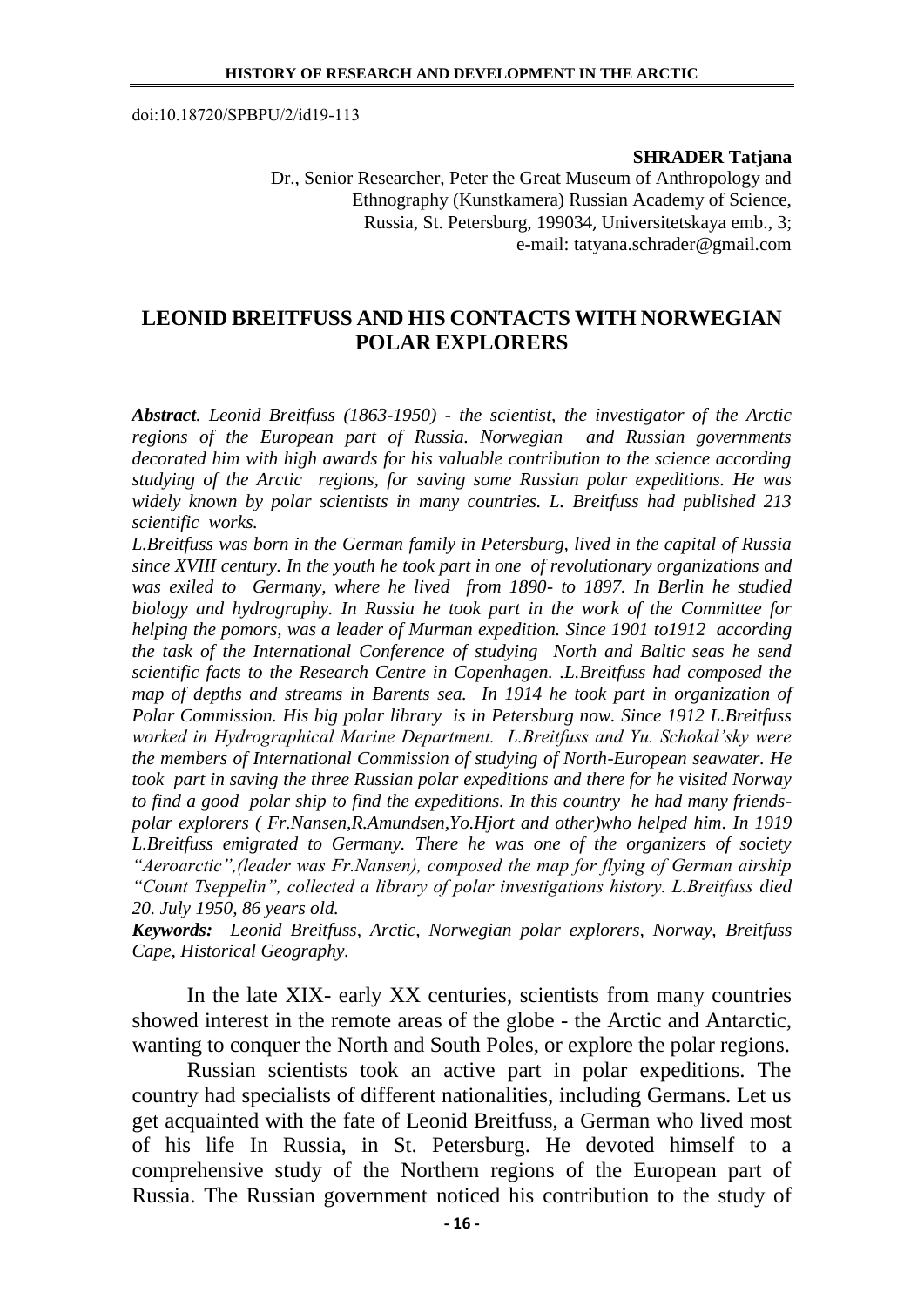doi:10.18720/SPBPU/2/id19-113

## **SHRADER Tatjana**

Dr., Senior Researcher, Peter the Great Museum of Anthropology and Ethnography (Kunstkamera) Russian Academy of Science, Russia, St. Petersburg, 199034, Universitetskaya emb., 3; e-mail: tatyana.schrader@gmail.com

## **LEONID BREITFUSS AND HIS CONTACTS WITH NORWEGIAN POLAR EXPLORERS**

*Abstract. Leonid Breitfuss (1863-1950) - the scientist, the investigator of the Arctic regions of the European part of Russia. Norwegian and Russian governments decorated him with high awards for his valuable contribution to the science according studying of the Arctic regions, for saving some Russian polar expeditions. He was widely known by polar scientists in many countries. L. Breitfuss had published 213 scientific works.* 

*L.Breitfuss was born in the German family in Petersburg, lived in the capital of Russia since XVIII century. In the youth he took part in one of revolutionary organizations and was exiled to Germany, where he lived from 1890- to 1897. In Berlin he studied biology and hydrography. In Russia he took part in the work of the Committee for helping the pomors, was a leader of Murman expedition. Since 1901 to1912 according the task of the International Conference of studying North and Baltic seas he send scientific facts to the Research Centre in Copenhagen. .L.Breitfuss had composed the map of depths and streams in Barents sea. In 1914 he took part in organization of Polar Commission. His big polar library is in Petersburg now. Since 1912 L.Breitfuss worked in Hydrographical Marine Department. L.Breitfuss and Yu. Schokal'sky were the members of International Commission of studying of North-European seawater. He took part in saving the three Russian polar expeditions and there for he visited Norway* to find a good polar ship to find the expeditions. In this country he had many friends*polar explorers ( Fr.Nansen,R.Amundsen,Yo.Hjort and other)who helped him. In 1919 L.Breitfuss emigrated to Germany. There he was one of the organizers of society ―Aeroarctic‖,(leader was Fr.Nansen), composed the map for flying of German airship ―Count Tseppelin‖, collected a library of polar investigations history. L.Breitfuss died 20. July 1950, 86 years old.*

*Keywords: Leonid Breitfuss, Arctic, Norwegian polar explorers, Norway, Breitfuss Cape, Historical Geography.*

In the late XIX- early XX centuries, scientists from many countries showed interest in the remote areas of the globe - the Arctic and Antarctic, wanting to conquer the North and South Poles, or explore the polar regions.

Russian scientists took an active part in polar expeditions. The country had specialists of different nationalities, including Germans. Let us get acquainted with the fate of Leonid Breitfuss, a German who lived most of his life In Russia, in St. Petersburg. He devoted himself to a comprehensive study of the Northern regions of the European part of Russia. The Russian government noticed his contribution to the study of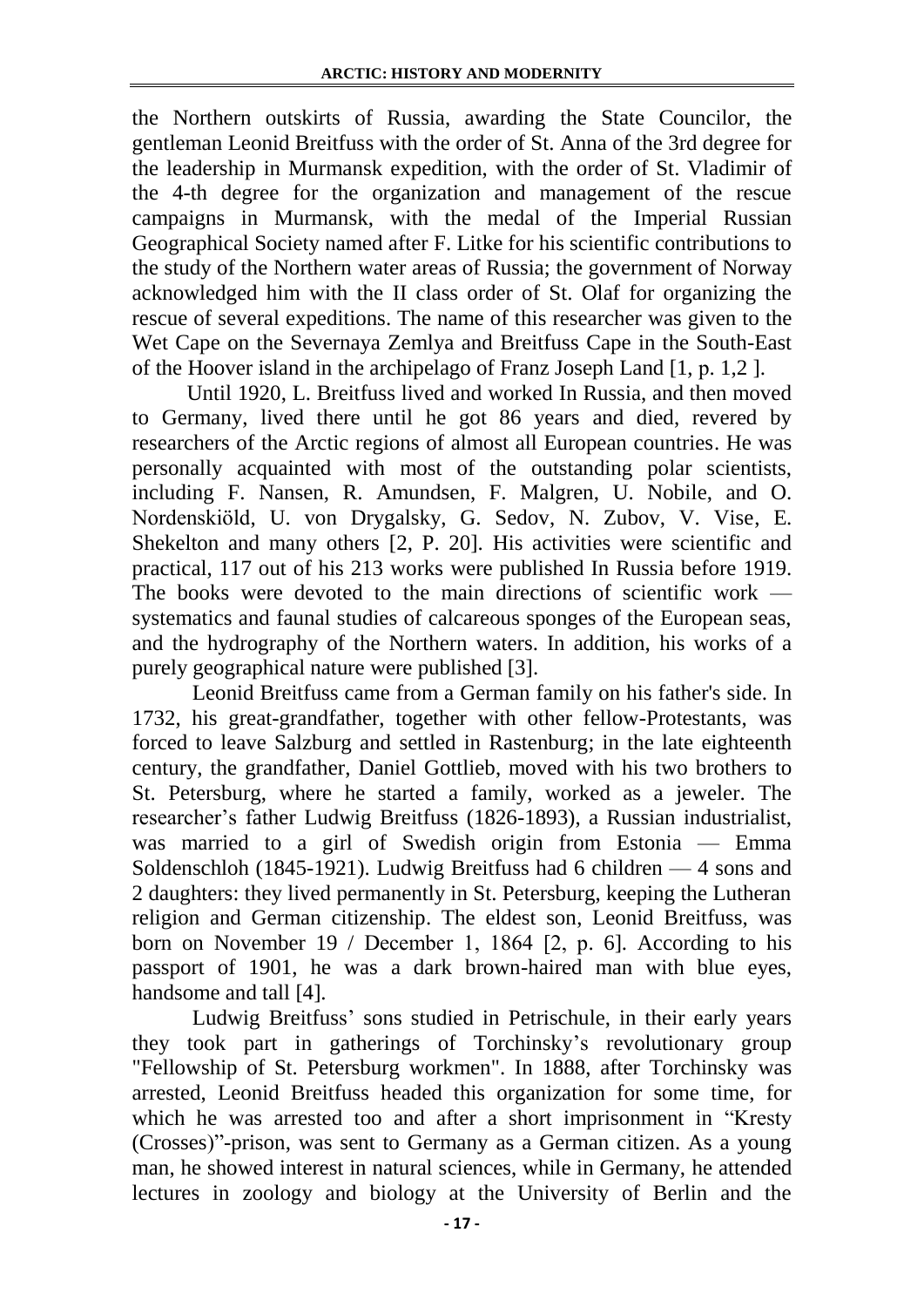the Northern outskirts of Russia, awarding the State Councilor, the gentleman Leonid Breitfuss with the order of St. Anna of the 3rd degree for the leadership in Murmansk expedition, with the order of St. Vladimir of the 4-th degree for the organization and management of the rescue campaigns in Murmansk, with the medal of the Imperial Russian Geographical Society named after F. Litke for his scientific contributions to the study of the Northern water areas of Russia; the government of Norway acknowledged him with the II class order of St. Olaf for organizing the rescue of several expeditions. The name of this researcher was given to the Wet Cape on the Severnaya Zemlya and Breitfuss Cape in the South-East of the Hoover island in the archipelago of Franz Joseph Land [1, р. 1,2 ].

Until 1920, L. Breitfuss lived and worked In Russia, and then moved to Germany, lived there until he got 86 years and died, revered by researchers of the Arctic regions of almost all European countries. He was personally acquainted with most of the outstanding polar scientists, including F. Nansen, R. Amundsen, F. Malgren, U. Nobile, and O. Nordenskiöld, U. von Drygalsky, G. Sedov, N. Zubov, V. Vise, E. Shekelton and many others [2, P. 20]. His activities were scientific and practical, 117 out of his 213 works were published In Russia before 1919. The books were devoted to the main directions of scientific work systematics and faunal studies of calcareous sponges of the European seas, and the hydrography of the Northern waters. In addition, his works of a purely geographical nature were published [3].

 Leonid Breitfuss came from a German family on his father's side. In 1732, his great-grandfather, together with other fellow-Protestants, was forced to leave Salzburg and settled in Rastenburg; in the late eighteenth century, the grandfather, Daniel Gottlieb, moved with his two brothers to St. Petersburg, where he started a family, worked as a jeweler. The researcher's father Ludwig Breitfuss (1826-1893), a Russian industrialist, was married to a girl of Swedish origin from Estonia — Emma Soldenschloh (1845-1921). Ludwig Breitfuss had 6 children — 4 sons and 2 daughters: they lived permanently in St. Petersburg, keeping the Lutheran religion and German citizenship. The eldest son, Leonid Breitfuss, was born on November 19 / December 1, 1864 [2, p. 6]. According to his passport of 1901, he was a dark brown-haired man with blue eyes, handsome and tall [4].

 Ludwig Breitfuss' sons studied in Petrischule, in their early years they took part in gatherings of Torchinsky's revolutionary group "Fellowship of St. Petersburg workmen". In 1888, after Torchinsky was arrested, Leonid Breitfuss headed this organization for some time, for which he was arrested too and after a short imprisonment in "Kresty" (Crosses)"-prison, was sent to Germany as a German citizen. As a young man, he showed interest in natural sciences, while in Germany, he attended lectures in zoology and biology at the University of Berlin and the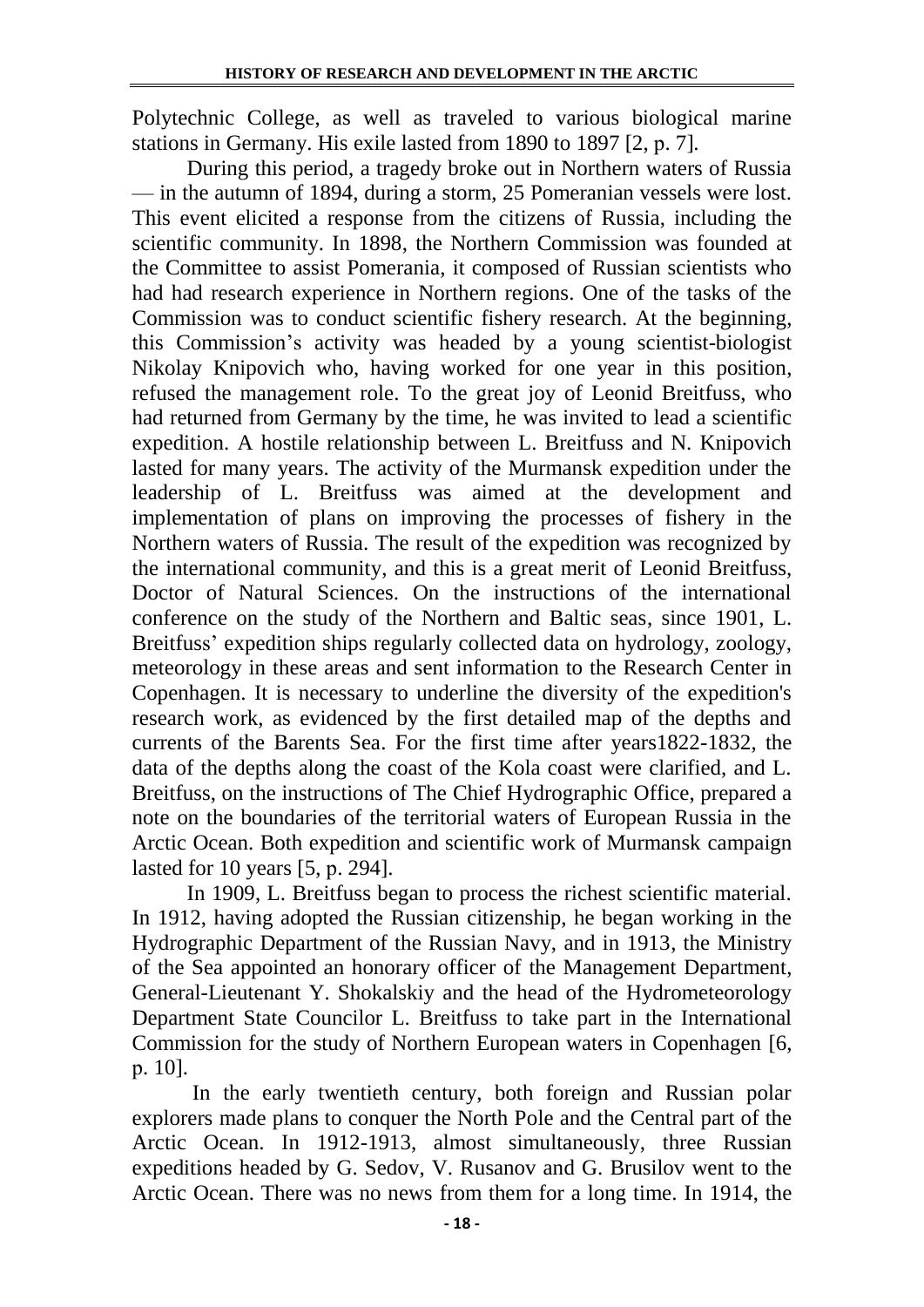Polytechnic College, as well as traveled to various biological marine stations in Germany. His exile lasted from 1890 to 1897 [2, р. 7].

During this period, a tragedy broke out in Northern waters of Russia — in the autumn of 1894, during a storm, 25 Pomeranian vessels were lost. This event elicited a response from the citizens of Russia, including the scientific community. In 1898, the Northern Commission was founded at the Committee to assist Pomerania, it composed of Russian scientists who had had research experience in Northern regions. One of the tasks of the Commission was to conduct scientific fishery research. At the beginning, this Commission's activity was headed by a young scientist-biologist Nikolay Knipovich who, having worked for one year in this position, refused the management role. To the great joy of Leonid Breitfuss, who had returned from Germany by the time, he was invited to lead a scientific expedition. A hostile relationship between L. Breitfuss and N. Knipovich lasted for many years. The activity of the Murmansk expedition under the leadership of L. Breitfuss was aimed at the development and implementation of plans on improving the processes of fishery in the Northern waters of Russia. The result of the expedition was recognized by the international community, and this is a great merit of Leonid Breitfuss, Doctor of Natural Sciences. On the instructions of the international conference on the study of the Northern and Baltic seas, since 1901, L. Breitfuss' expedition ships regularly collected data on hydrology, zoology, meteorology in these areas and sent information to the Research Center in Copenhagen. It is necessary to underline the diversity of the expedition's research work, as evidenced by the first detailed map of the depths and currents of the Barents Sea. For the first time after years1822-1832, the data of the depths along the coast of the Kola coast were clarified, and L. Breitfuss, on the instructions of The Chief Hydrographic Office, prepared a note on the boundaries of the territorial waters of European Russia in the Arctic Ocean. Both expedition and scientific work of Murmansk campaign lasted for 10 years [5, р. 294].

In 1909, L. Breitfuss began to process the richest scientific material. In 1912, having adopted the Russian citizenship, he began working in the Hydrographic Department of the Russian Navy, and in 1913, the Ministry of the Sea appointed an honorary officer of the Management Department, General-Lieutenant Y. Shokalskiy and the head of the Hydrometeorology Department State Councilor L. Breitfuss to take part in the International Commission for the study of Northern European waters in Copenhagen [6, р. 10].

 In the early twentieth century, both foreign and Russian polar explorers made plans to conquer the North Pole and the Central part of the Arctic Ocean. In 1912-1913, almost simultaneously, three Russian expeditions headed by G. Sedov, V. Rusanov and G. Brusilov went to the Arctic Ocean. There was no news from them for a long time. In 1914, the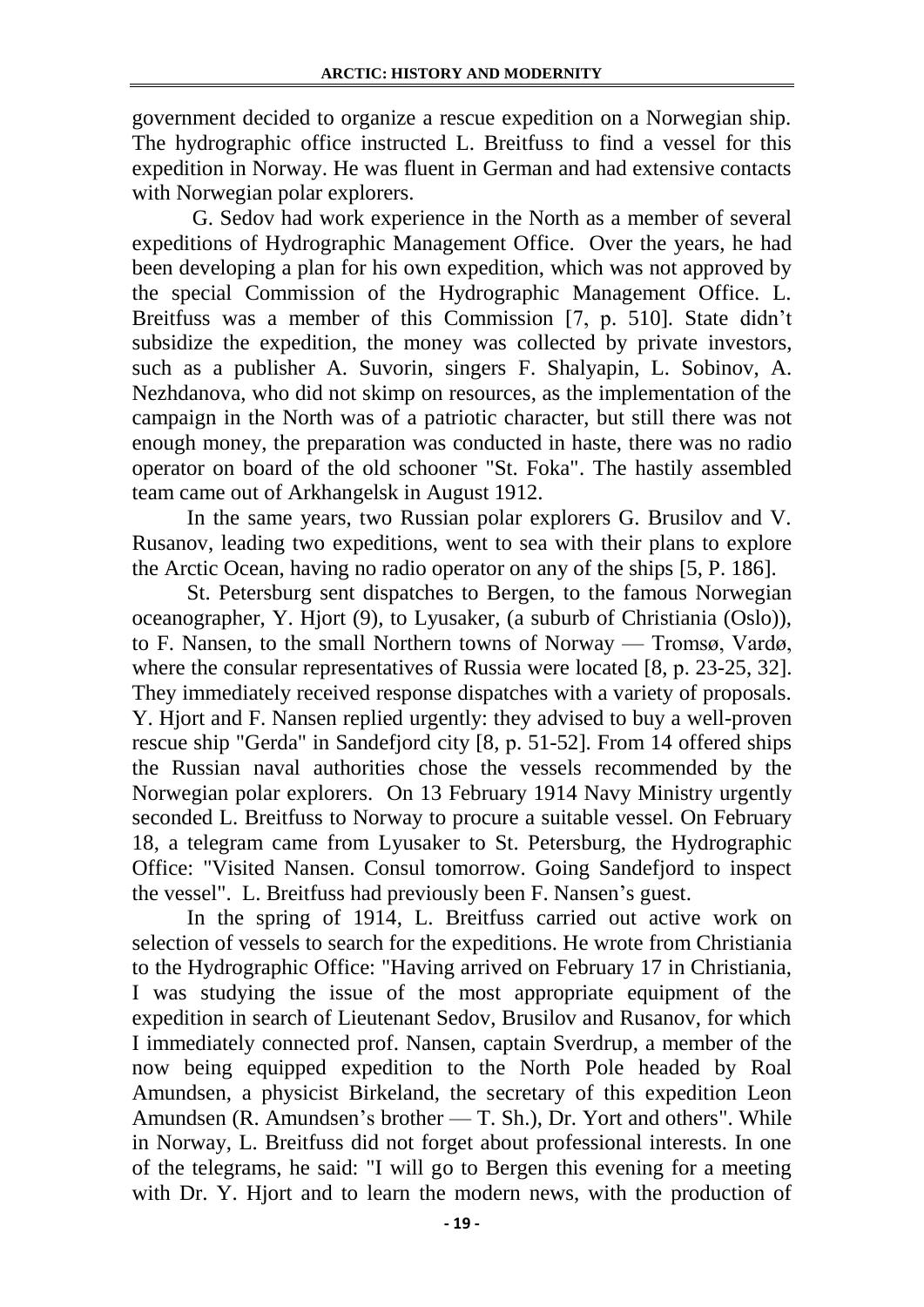government decided to organize a rescue expedition on a Norwegian ship. The hydrographic office instructed L. Breitfuss to find a vessel for this expedition in Norway. He was fluent in German and had extensive contacts with Norwegian polar explorers.

G. Sedov had work experience in the North as a member of several expeditions of Hydrographic Management Office. Over the years, he had been developing a plan for his own expedition, which was not approved by the special Commission of the Hydrographic Management Office. L. Breitfuss was a member of this Commission [7, p. 510]. State didn't subsidize the expedition, the money was collected by private investors, such as a publisher A. Suvorin, singers F. Shalyapin, L. Sobinov, A. Nezhdanova, who did not skimp on resources, as the implementation of the campaign in the North was of a patriotic character, but still there was not enough money, the preparation was conducted in haste, there was no radio operator on board of the old schooner "St. Foka". The hastily assembled team came out of Arkhangelsk in August 1912.

In the same years, two Russian polar explorers G. Brusilov and V. Rusanov, leading two expeditions, went to sea with their plans to explore the Arctic Ocean, having no radio operator on any of the ships [5, P. 186].

St. Petersburg sent dispatches to Bergen, to the famous Norwegian oceanographer, Y. Hjort (9), to Lyusaker, (a suburb of Christiania (Oslo)), to F. Nansen, to the small Northern towns of Norway — Tromsø, Vardø, where the consular representatives of Russia were located [8, p. 23-25, 32]. They immediately received response dispatches with a variety of proposals. Y. Hjort and F. Nansen replied urgently: they advised to buy a well-proven rescue ship "Gerda" in Sandefjord city [8, р. 51-52]. From 14 offered ships the Russian naval authorities chose the vessels recommended by the Norwegian polar explorers. On 13 February 1914 Navy Ministry urgently seconded L. Breitfuss to Norway to procure a suitable vessel. On February 18, a telegram came from Lyusaker to St. Petersburg, the Hydrographic Office: "Visited Nansen. Consul tomorrow. Going Sandefjord to inspect the vessel". L. Breitfuss had previously been F. Nansen's guest.

In the spring of 1914, L. Breitfuss carried out active work on selection of vessels to search for the expeditions. He wrote from Christiania to the Hydrographic Office: "Having arrived on February 17 in Christiania, I was studying the issue of the most appropriate equipment of the expedition in search of Lieutenant Sedov, Brusilov and Rusanov, for which I immediately connected prof. Nansen, captain Sverdrup, a member of the now being equipped expedition to the North Pole headed by Roal Amundsen, a physicist Birkeland, the secretary of this expedition Leon Amundsen (R. Amundsen's brother — T. Sh.), Dr. Yort and others". While in Norway, L. Breitfuss did not forget about professional interests. In one of the telegrams, he said: "I will go to Bergen this evening for a meeting with Dr. Y. Hjort and to learn the modern news, with the production of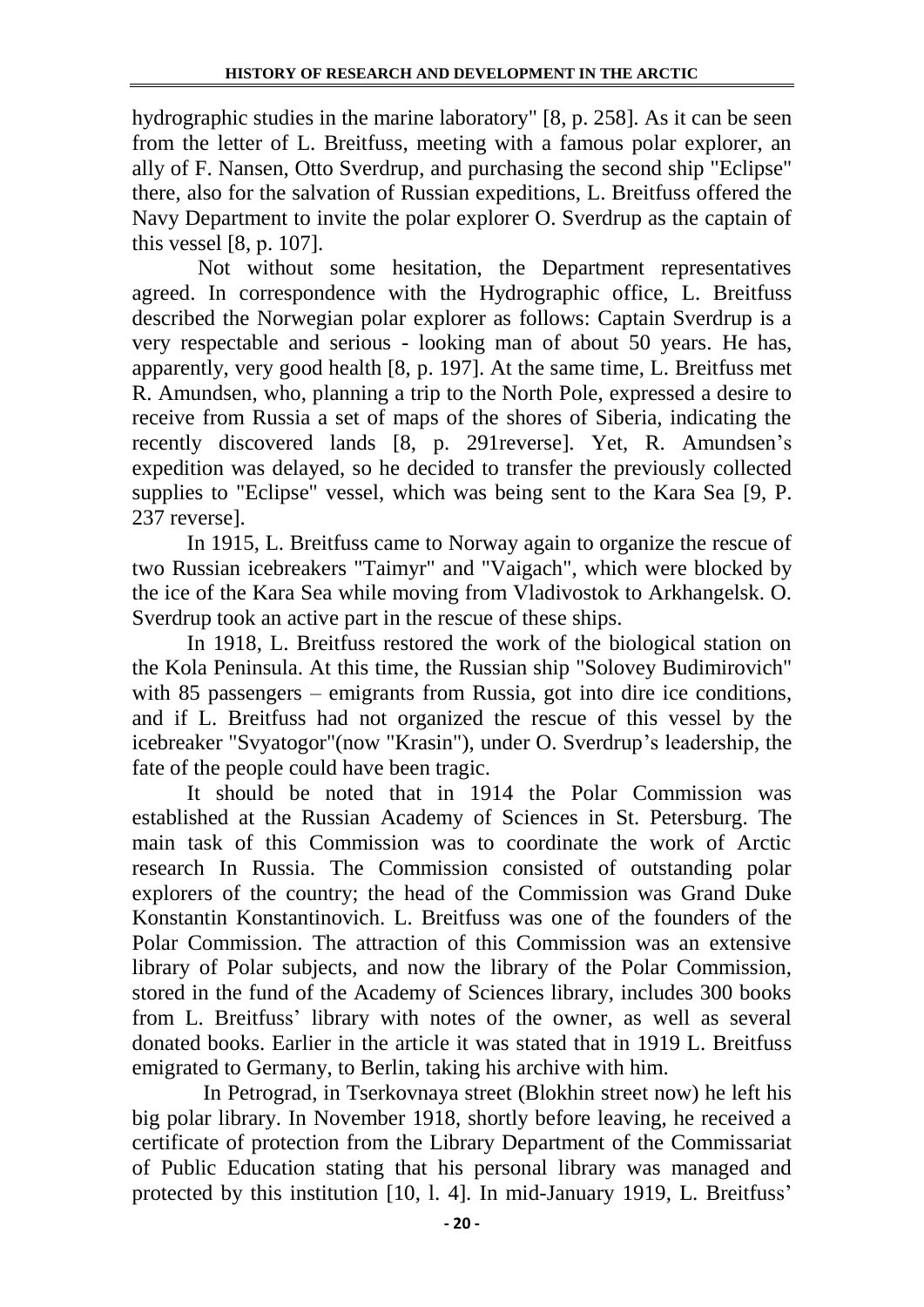hydrographic studies in the marine laboratory" [8, p. 258]. As it can be seen from the letter of L. Breitfuss, meeting with a famous polar explorer, an ally of F. Nansen, Otto Sverdrup, and purchasing the second ship "Eclipse" there, also for the salvation of Russian expeditions, L. Breitfuss offered the Navy Department to invite the polar explorer O. Sverdrup as the captain of this vessel [8, р. 107].

 Not without some hesitation, the Department representatives agreed. In correspondence with the Hydrographic office, L. Breitfuss described the Norwegian polar explorer as follows: Captain Sverdrup is a very respectable and serious - looking man of about 50 years. He has, apparently, very good health [8, p. 197]. At the same time, L. Breitfuss met R. Amundsen, who, planning a trip to the North Pole, expressed a desire to receive from Russia a set of maps of the shores of Siberia, indicating the recently discovered lands [8, p. 291 reverse]. Yet, R. Amundsen's expedition was delayed, so he decided to transfer the previously collected supplies to "Eclipse" vessel, which was being sent to the Kara Sea [9, P. 237 reverse].

In 1915, L. Breitfuss came to Norway again to organize the rescue of two Russian icebreakers "Taimyr" and "Vaigach", which were blocked by the ice of the Kara Sea while moving from Vladivostok to Arkhangelsk. O. Sverdrup took an active part in the rescue of these ships.

In 1918, L. Breitfuss restored the work of the biological station on the Kola Peninsula. At this time, the Russian ship "Solovey Budimirovich" with 85 passengers – emigrants from Russia, got into dire ice conditions, and if L. Breitfuss had not organized the rescue of this vessel by the icebreaker "Svyatogor"(now "Krasin"), under O. Sverdrup's leadership, the fate of the people could have been tragic.

It should be noted that in 1914 the Polar Commission was established at the Russian Academy of Sciences in St. Petersburg. The main task of this Commission was to coordinate the work of Arctic research In Russia. The Commission consisted of outstanding polar explorers of the country; the head of the Commission was Grand Duke Konstantin Konstantinovich. L. Breitfuss was one of the founders of the Polar Commission. The attraction of this Commission was an extensive library of Polar subjects, and now the library of the Polar Commission, stored in the fund of the Academy of Sciences library, includes 300 books from L. Breitfuss' library with notes of the owner, as well as several donated books. Earlier in the article it was stated that in 1919 L. Breitfuss emigrated to Germany, to Berlin, taking his archive with him.

 In Petrograd, in Tserkovnaya street (Blokhin street now) he left his big polar library. In November 1918, shortly before leaving, he received a certificate of protection from the Library Department of the Commissariat of Public Education stating that his personal library was managed and protected by this institution [10, l. 4]. In mid-January 1919, L. Breitfuss'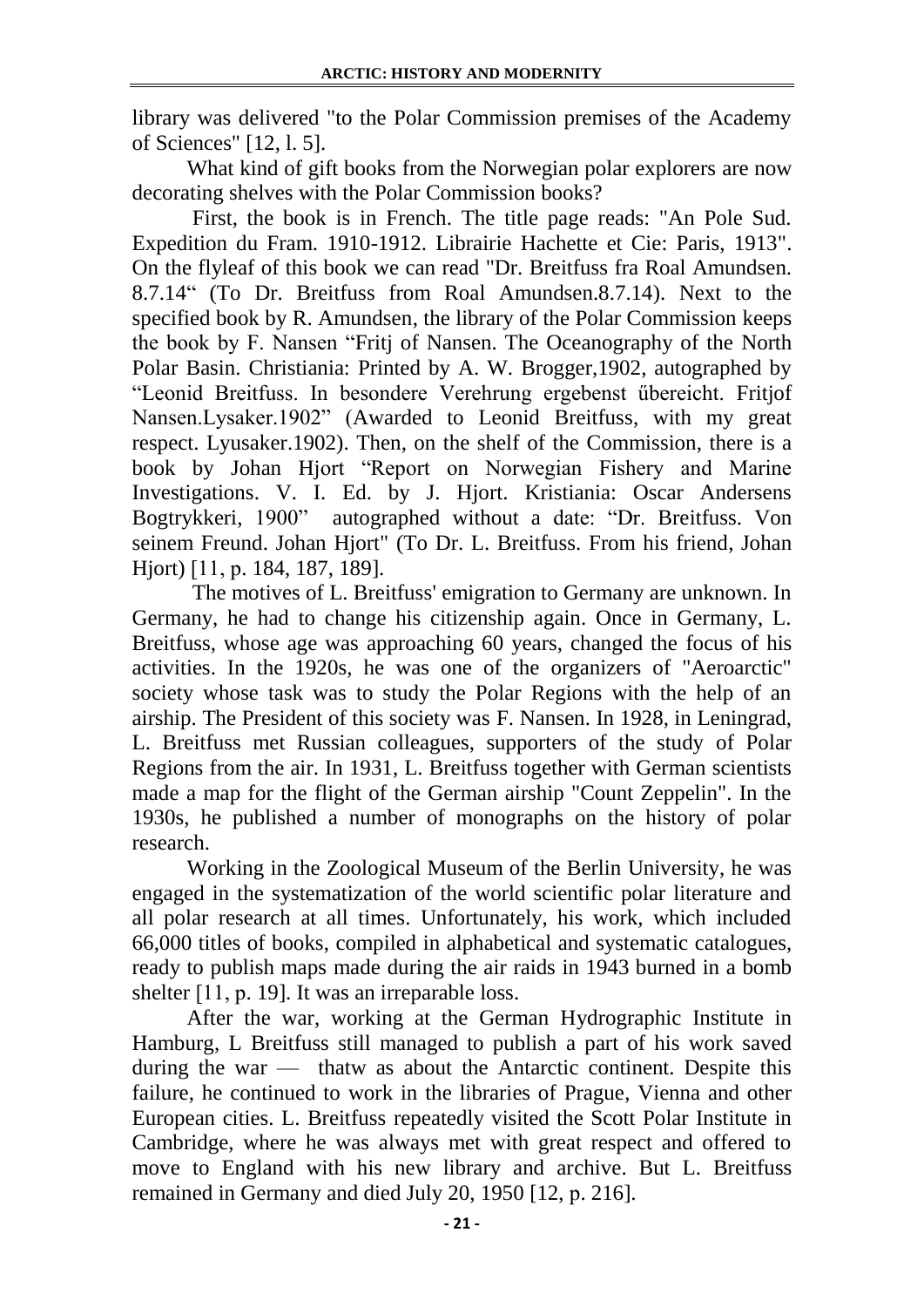library was delivered "to the Polar Commission premises of the Academy of Sciences" [12, l. 5].

What kind of gift books from the Norwegian polar explorers are now decorating shelves with the Polar Commission books?

 First, the book is in French. The title page reads: "An Pole Sud. Expedition du Fram. 1910-1912. Librairie Hachette et Cie: Paris, 1913". On the flyleaf of this book we can read "Dr. Breitfuss fra Roal Amundsen. 8.7.14― (To Dr. Breitfuss from Roal Amundsen.8.7.14). Next to the specified book by R. Amundsen, the library of the Polar Commission keeps the book by F. Nansen "Fritj of Nansen. The Oceanography of the North Polar Basin. Christiania: Printed by A. W. Brogger,1902, autographed by ―Leonid Breitfuss. In besondere Verehrung ergebenst űbereicht. Fritjof Nansen.Lysaker.1902" (Awarded to Leonid Breitfuss, with my great respect. Lyusaker.1902). Then, on the shelf of the Commission, there is a book by Johan Hjort "Report on Norwegian Fishery and Marine Investigations. V. I. Ed. by J. Hjort. Kristiania: Oscar Andersens Bogtrykkeri, 1900" autographed without a date: "Dr. Breitfuss. Von seinem Freund. Johan Hjort" (To Dr. L. Breitfuss. From his friend, Johan Hjort) [11, р. 184, 187, 189].

 The motives of L. Breitfuss' emigration to Germany are unknown. In Germany, he had to change his citizenship again. Once in Germany, L. Breitfuss, whose age was approaching 60 years, changed the focus of his activities. In the 1920s, he was one of the organizers of "Aeroarctic" society whose task was to study the Polar Regions with the help of an airship. The President of this society was F. Nansen. In 1928, in Leningrad, L. Breitfuss met Russian colleagues, supporters of the study of Polar Regions from the air. In 1931, L. Breitfuss together with German scientists made a map for the flight of the German airship "Count Zeppelin". In the 1930s, he published a number of monographs on the history of polar research.

Working in the Zoological Museum of the Berlin University, he was engaged in the systematization of the world scientific polar literature and all polar research at all times. Unfortunately, his work, which included 66,000 titles of books, compiled in alphabetical and systematic catalogues, ready to publish maps made during the air raids in 1943 burned in a bomb shelter [11, p. 19]. It was an irreparable loss.

After the war, working at the German Hydrographic Institute in Hamburg, L Breitfuss still managed to publish a part of his work saved during the war — thatw as about the Antarctic continent. Despite this failure, he continued to work in the libraries of Prague, Vienna and other European cities. L. Breitfuss repeatedly visited the Scott Polar Institute in Cambridge, where he was always met with great respect and offered to move to England with his new library and archive. But L. Breitfuss remained in Germany and died July 20, 1950 [12, р. 216].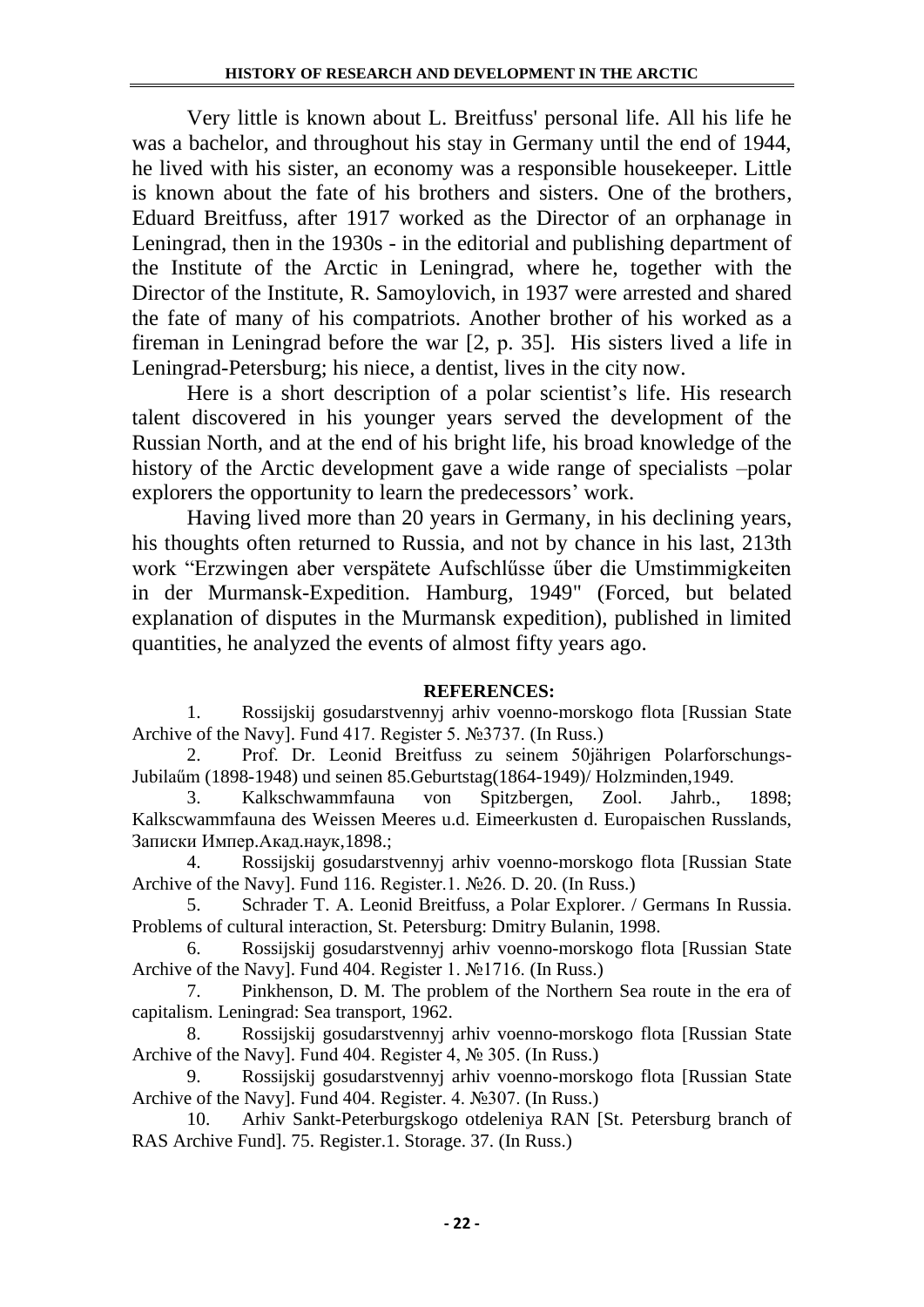Very little is known about L. Breitfuss' personal life. All his life he was a bachelor, and throughout his stay in Germany until the end of 1944, he lived with his sister, an economy was a responsible housekeeper. Little is known about the fate of his brothers and sisters. One of the brothers, Eduard Breitfuss, after 1917 worked as the Director of an orphanage in Leningrad, then in the 1930s - in the editorial and publishing department of the Institute of the Arctic in Leningrad, where he, together with the Director of the Institute, R. Samoylovich, in 1937 were arrested and shared the fate of many of his compatriots. Another brother of his worked as a fireman in Leningrad before the war [2, р. 35]. His sisters lived a life in Leningrad-Petersburg; his niece, a dentist, lives in the city now.

Here is a short description of a polar scientist's life. His research talent discovered in his younger years served the development of the Russian North, and at the end of his bright life, his broad knowledge of the history of the Arctic development gave a wide range of specialists –polar explorers the opportunity to learn the predecessors' work.

Having lived more than 20 years in Germany, in his declining years, his thoughts often returned to Russia, and not by chance in his last, 213th work "Erzwingen aber verspätete Aufschlüsse über die Umstimmigkeiten in der Murmansk-Expedition. Hamburg, 1949" (Forced, but belated explanation of disputes in the Murmansk expedition), published in limited quantities, he analyzed the events of almost fifty years ago.

## **REFERENCES:**

1. Rossijskij gosudarstvennyj arhiv voenno-morskogo flota [Russian State Archive of the Navy]. Fund 417. Register 5. №3737. (In Russ.)

2. Prof. Dr. Leonid Breitfuss zu seinem 50jährigen Polarforschungs-Jubilaűm (1898-1948) und seinen 85.Geburtstag(1864-1949)/ Holzminden,1949.

3. Kalkschwammfauna von Spitzbergen, Zool. Jahrb., 1898; Kalkscwammfauna des Weissen Meeres u.d. Eimeerkusten d. Europaischen Russlands, Записки Импер.Акад.наук,1898.;

4. Rossijskij gosudarstvennyj arhiv voenno-morskogo flota [Russian State Archive of the Navy]. Fund 116. Register.1. №26. D. 20. (In Russ.)

5. Schrader T. A. Leonid Breitfuss, a Polar Explorer. / Germans In Russia. Problems of cultural interaction, St. Petersburg: Dmitry Bulanin, 1998.

6. Rossijskij gosudarstvennyj arhiv voenno-morskogo flota [Russian State Archive of the Navy]. Fund 404. Register 1. №1716. (In Russ.)

7. Pinkhenson, D. M. The problem of the Northern Sea route in the era of capitalism. Leningrad: Sea transport, 1962.

8. Rossijskij gosudarstvennyj arhiv voenno-morskogo flota [Russian State Archive of the Navy]. Fund 404. Register 4, № 305. (In Russ.)

9. Rossijskij gosudarstvennyj arhiv voenno-morskogo flota [Russian State Archive of the Navy]. Fund 404. Register. 4. №307. (In Russ.)

10. Arhiv Sankt-Peterburgskogo otdeleniya RAN [St. Petersburg branch of RAS Archive Fund]. 75. Register.1. Storage. 37. (In Russ.)